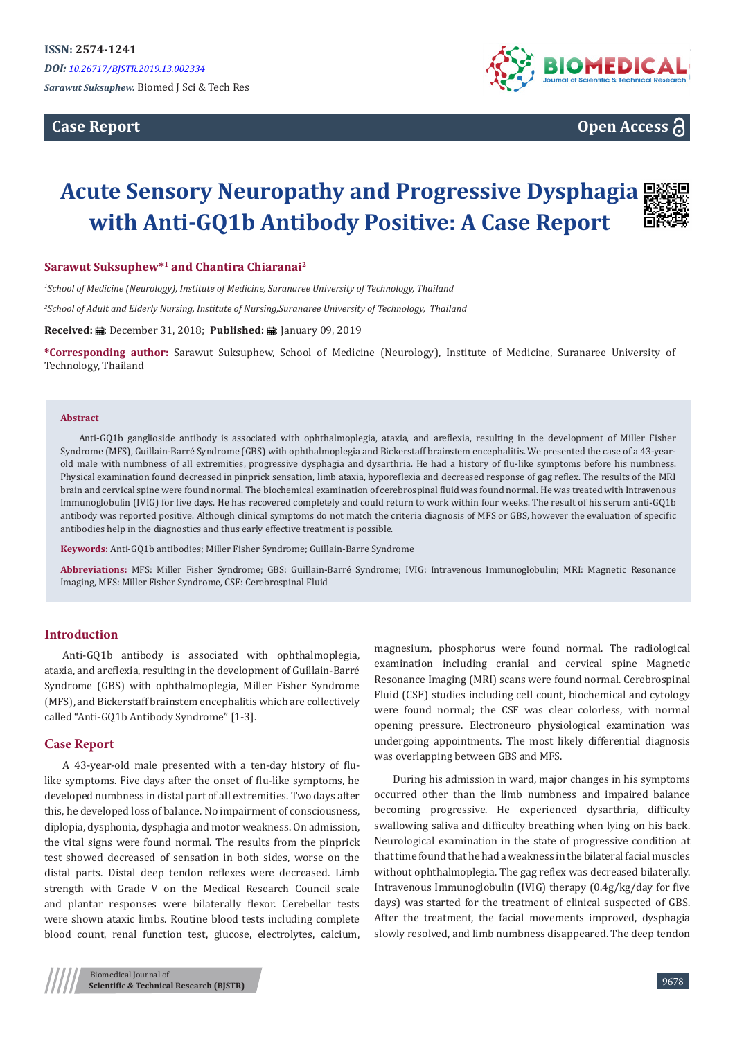**Case Report**



**Open Access**

# **Acute Sensory Neuropathy and Progressive Dysphagia with Anti-GQ1b Antibody Positive: A Case Report**

**Sarawut Suksuphew\*<sup>1</sup> and Chantira Chiaranai<sup>2</sup>**

*1 School of Medicine (Neurology), Institute of Medicine, Suranaree University of Technology, Thailand*

*2 School of Adult and Elderly Nursing, Institute of Nursing,Suranaree University of Technology, Thailand*

Received: *a*: December 31, 2018; Published: a: January 09, 2019

**\*Corresponding author:** Sarawut Suksuphew, School of Medicine (Neurology), Institute of Medicine, Suranaree University of Technology, Thailand

#### **Abstract**

Anti-GQ1b ganglioside antibody is associated with ophthalmoplegia, ataxia, and areflexia, resulting in the development of Miller Fisher Syndrome (MFS), Guillain-Barré Syndrome (GBS) with ophthalmoplegia and Bickerstaff brainstem encephalitis. We presented the case of a 43-yearold male with numbness of all extremities, progressive dysphagia and dysarthria. He had a history of flu-like symptoms before his numbness. Physical examination found decreased in pinprick sensation, limb ataxia, hyporeflexia and decreased response of gag reflex. The results of the MRI brain and cervical spine were found normal. The biochemical examination of cerebrospinal fluid was found normal. He was treated with Intravenous Immunoglobulin (IVIG) for five days. He has recovered completely and could return to work within four weeks. The result of his serum anti-GQ1b antibody was reported positive. Although clinical symptoms do not match the criteria diagnosis of MFS or GBS, however the evaluation of specific antibodies help in the diagnostics and thus early effective treatment is possible.

**Keywords:** Anti-GQ1b antibodies; Miller Fisher Syndrome; Guillain-Barre Syndrome

**Abbreviations:** MFS: Miller Fisher Syndrome; GBS: Guillain-Barré Syndrome; IVIG: Intravenous Immunoglobulin; MRI: Magnetic Resonance Imaging, MFS: Miller Fisher Syndrome, CSF: Cerebrospinal Fluid

#### **Introduction**

Anti-GQ1b antibody is associated with ophthalmoplegia, ataxia, and areflexia, resulting in the development of Guillain-Barré Syndrome (GBS) with ophthalmoplegia, Miller Fisher Syndrome (MFS), and Bickerstaff brainstem encephalitis which are collectively called "Anti-GQ1b Antibody Syndrome" [1-3].

#### **Case Report**

A 43-year-old male presented with a ten-day history of flulike symptoms. Five days after the onset of flu-like symptoms, he developed numbness in distal part of all extremities. Two days after this, he developed loss of balance. No impairment of consciousness, diplopia, dysphonia, dysphagia and motor weakness. On admission, the vital signs were found normal. The results from the pinprick test showed decreased of sensation in both sides, worse on the distal parts. Distal deep tendon reflexes were decreased. Limb strength with Grade V on the Medical Research Council scale and plantar responses were bilaterally flexor. Cerebellar tests were shown ataxic limbs. Routine blood tests including complete blood count, renal function test, glucose, electrolytes, calcium,

magnesium, phosphorus were found normal. The radiological examination including cranial and cervical spine Magnetic Resonance Imaging (MRI) scans were found normal. Cerebrospinal Fluid (CSF) studies including cell count, biochemical and cytology were found normal; the CSF was clear colorless, with normal opening pressure. Electroneuro physiological examination was undergoing appointments. The most likely differential diagnosis was overlapping between GBS and MFS.

During his admission in ward, major changes in his symptoms occurred other than the limb numbness and impaired balance becoming progressive. He experienced dysarthria, difficulty swallowing saliva and difficulty breathing when lying on his back. Neurological examination in the state of progressive condition at that time found that he had a weakness in the bilateral facial muscles without ophthalmoplegia. The gag reflex was decreased bilaterally. Intravenous Immunoglobulin (IVIG) therapy (0.4g/kg/day for five days) was started for the treatment of clinical suspected of GBS. After the treatment, the facial movements improved, dysphagia slowly resolved, and limb numbness disappeared. The deep tendon